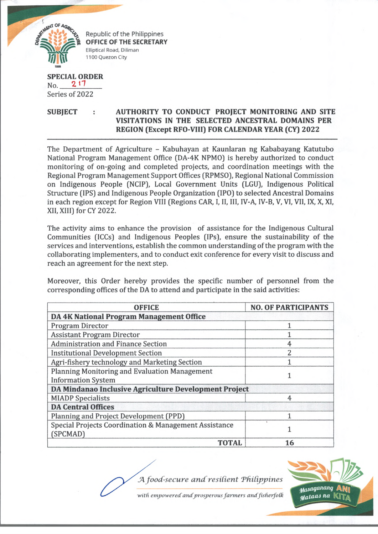

Republic of the Philippines **OFFICE OF THE SECRETARY Elliptical Road, Diliman 1100 Quezon City**

**SPECIAL ORDER**  $No.$  2 17 Series of 2022

**SUBJECT : AUTHORITY TO CONDUCT PROJECT MONITORING AND SITE VISITATIONS IN THE SELECTED ANCESTRAL DOMAINS PER REGION (Except RFO-VIII) FOR CALENDAR YEAR (CY) 2022**

The Department of Agriculture - Kabuhayan at Kaunlaran ng Kababayang Katutubo National Program Management Office (DA-4K NPMO) is hereby authorized to conduct monitoring of on-going and completed projects, and coordination meetings with the Regional Program Management Support Offices (RPMSO), Regional National Commission on Indigenous People (NCIP), Local Government Units (LGU), Indigenous Political Structure (IPS) and Indigenous People Organization (IPO) to selected Ancestral Domains in each region except for Region VIII (Regions CAR, I, II, III, IV-A, IV-B, V, VI, VII, IX, X, XI, XII, XIII) for CY 2022.

The activity aims to enhance the provision of assistance for the Indigenous Cultural Communities (ICCs) and Indigenous Peoples (IPs), ensure the sustainability of the services and interventions, establish the common understanding of the program with the collaborating implementers, and to conduct exit conference for every visit to discuss and reach an agreement for the next step.

Moreover, this Order hereby provides the specific number of personnel from the corresponding offices of the DA to attend and participate in the said activities:

| <b>OFFICE</b>                                         | <b>NO. OF PARTICIPANTS</b> |
|-------------------------------------------------------|----------------------------|
| DA 4K National Program Management Office              |                            |
| Program Director                                      |                            |
| <b>Assistant Program Director</b>                     |                            |
| <b>Administration and Finance Section</b>             | 4                          |
| <b>Institutional Development Section</b>              | $\overline{2}$             |
| Agri-fishery technology and Marketing Section         |                            |
| Planning Monitoring and Evaluation Management         |                            |
| <b>Information System</b>                             |                            |
| DA Mindanao Inclusive Agriculture Development Project |                            |
| <b>MIADP</b> Specialists                              | 4                          |
| <b>DA Central Offices</b>                             |                            |
| Planning and Project Development (PPD)                |                            |
| Special Projects Coordination & Management Assistance |                            |
| (SPCMAD)                                              |                            |
| <b>TOTAL</b>                                          | 16                         |

J4*food-secure a n d resident Tfxidj)j>ines*



with empowered and prosperous farmers and fisherfolk